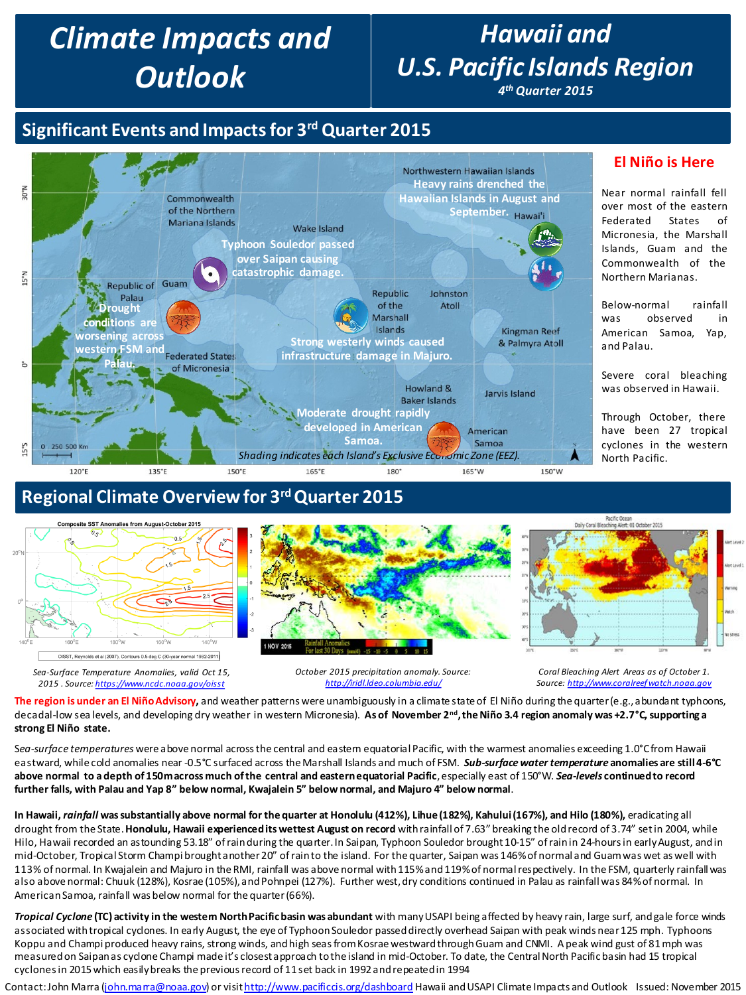# *Climate Impacts and Outlook*

# *Hawaii and U.S. Pacific Islands Region*

*4th Quarter 2015*

## **Significant Events and Impacts for 3rd Quarter 2015**



#### **El Niño is Here**

Near normal rainfall fell over most of the eastern Federated States of Micronesia, the Marshall Islands, Guam and the Commonwealth of the Northern Marianas.

Below-normal rainfall was observed in American Samoa, Yap, and Palau.

Severe coral bleaching was observed in Hawaii.

Through October, there have been 27 tropical cyclones in the western North Pacific.

## **Regional Climate Overview for 3rd Quarter 2015**



**The region is under an El Niño Advisory,** and weather patterns were unambiguously in a climate state of El Niño during the quarter (e.g., abundant typhoons, decadal-low sea levels, and developing dry weather in western Micronesia). **As of November 2nd, the Niño 3.4 region anomaly was +2.7°C, supporting a strong El Niño state.**

Sea-surface temperatures were above normal across the central and eastem equatorial Pacific, with the warmest anomalies exceeding 1.0°C from Hawaii eastward, while cold anomalies near -0.5°C surfaced across the Marshall Islands and much of FSM. *Sub-surface water temperature* **anomalies are still 4-6°C above normal to a depth of 150m across much of the central and eastern equatorial Pacific**, especially east of 150°W. *Sea-levels* **continued to record further falls, with Palau and Yap 8" below normal, Kwajalein 5" below normal, and Majuro 4" below normal**.

**In Hawaii,** *rainfall* **was substantially above normal for the quarter at Honolulu (412%), Lihue (182%), Kahului (167%), and Hilo (180%),** eradicating all drought from the State. **Honolulu, Hawaii experienced its wettest August on record** with rainfall of 7.63" breaking the old record of 3.74" set in 2004, while Hilo, Hawaii recorded an astounding 53.18" of rain during the quarter. In Saipan, Typhoon Souledor brought 10-15" of rain in 24-hours in early August, and in mid-October, Tropical Storm Champi brought another 20" of rain to the island. For the quarter, Saipan was 146% of normal and Guam was wet as well with 113% of normal. In Kwajalein and Majuro in the RMI, rainfall was above normal with 115% and 119% of normal respectively. In the FSM, quarterly rainfall was also above normal: Chuuk (128%), Kosrae (105%), and Pohnpei (127%). Further west, dry conditions continued in Palau as rainfall was 84% of normal. In American Samoa, rainfall was below normal for the quarter (66%).

*Tropical Cyclone* **(TC) activity in the western North Pacific basin was abundant** with many USAPI being affected by heavy rain, large surf, and gale force winds associated with tropical cyclones. In early August, the eye of Typhoon Souledor passed directly overhead Saipan with peak winds near 125 mph. Typhoons Koppu and Champi produced heavy rains, strong winds, and high seas from Kosraewestward through Guam and CNMI. A peak wind gust of 81 mph was measured on Saipan as cyclone Champi made it's closest approach to the island in mid-October. To date, the Central North Pacific basin had 15 tropical cyclones in 2015 which easily breaks the previous record of 11 set back in 1992 and repeated in 1994

Contact: John Marra ([john.marra@noaa.gov](mailto:john.marra@noaa.gov)) or visit<http://www.pacificcis.org/dashboard> Hawaii and USAPI Climate Impacts and Outlook Issued: November 2015